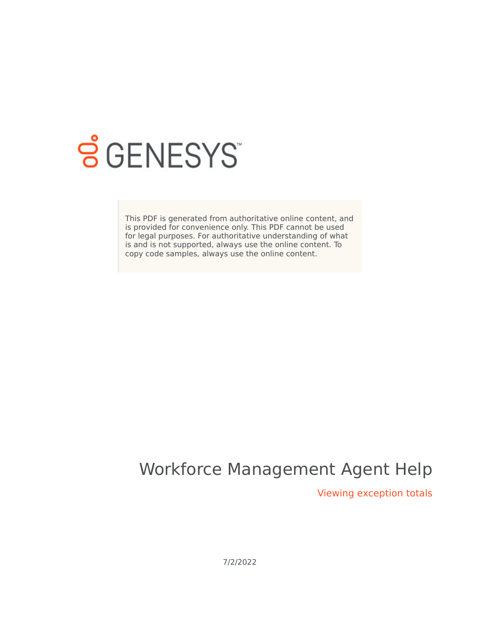

# **SGENESYS**

This PDF is generated from authoritative online content, and is provided for convenience only. This PDF cannot be used for legal purposes. For authoritative understanding of what is and is not supported, always use the online content. To copy code samples, always use the online content.

## Workforce Management Agent Help

Viewing exception totals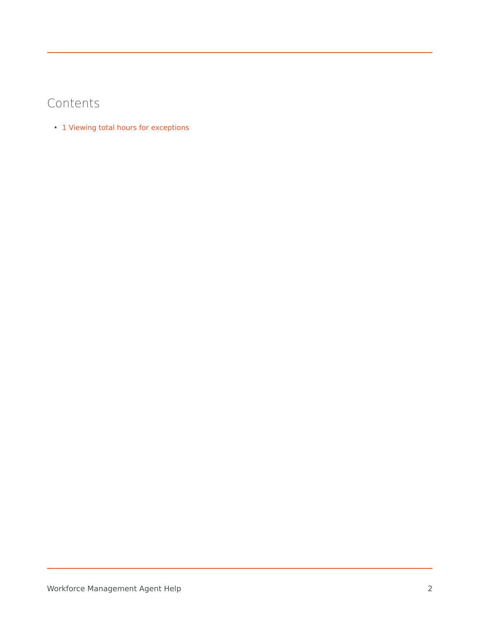### Contents

• 1 [Viewing total hours for exceptions](#page-2-0)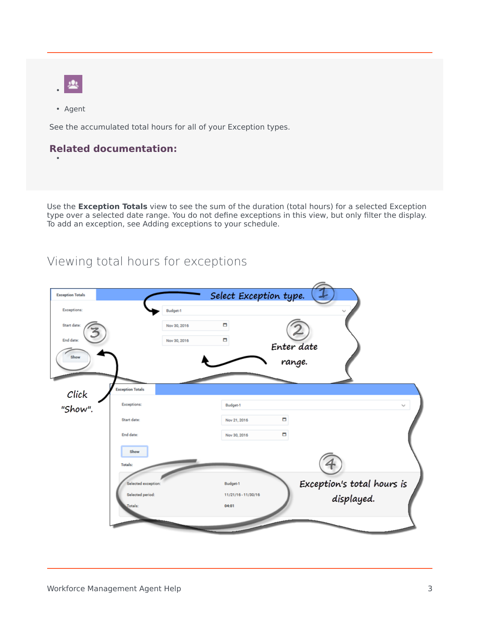- •
- Agent

•

See the accumulated total hours for all of your Exception types.

#### **Related documentation:**

Use the **Exception Totals** view to see the sum of the duration (total hours) for a selected Exception type over a selected date range. You do not define exceptions in this view, but only filter the display. To add an exception, see Adding exceptions to your schedule.

### <span id="page-2-0"></span>Viewing total hours for exceptions

| <b>Exception Totals</b> |                         | Select Exception type. |            |                            |  |
|-------------------------|-------------------------|------------------------|------------|----------------------------|--|
| <b>Exceptions:</b>      | Budget-1                |                        |            |                            |  |
| Start date:             | Nov 30, 2016            | O                      |            |                            |  |
| End date:               | Nov 30, 2016            | о                      | Enter date |                            |  |
| Show                    |                         |                        | range.     |                            |  |
|                         |                         |                        |            |                            |  |
| Click                   | <b>Exception Totals</b> |                        |            |                            |  |
| "Show".                 | Exceptions:             | Budget-1               |            | $\checkmark$               |  |
|                         | Start date:             | Nov 21, 2016           | о          |                            |  |
|                         | End date:               | Nov 30, 2016           | о          |                            |  |
|                         | Show                    |                        |            |                            |  |
|                         | <b>Totals:</b>          |                        |            |                            |  |
|                         | Selected exception:     | Budget-1               |            | Exception's total hours is |  |
|                         | Selected period:        | 11/21/16 - 11/30/16    |            | displayed.                 |  |
|                         | Totals:                 | 04:01                  |            |                            |  |
|                         |                         |                        |            |                            |  |
|                         |                         |                        |            |                            |  |